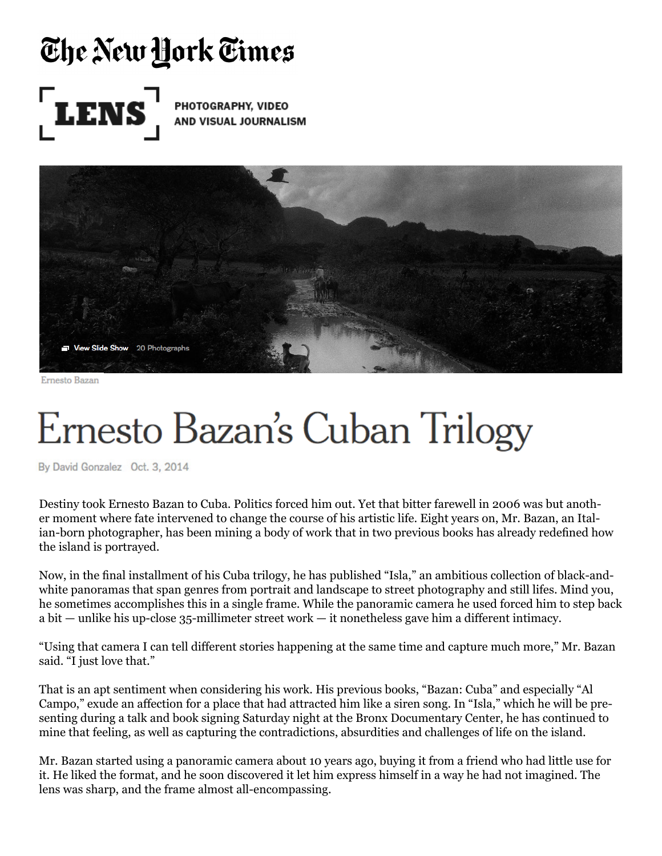## The New York Times



**PHOTOGRAPHY, VIDEO AND VISUAL JOURNALISM** 



Ernesto Bazan

## Ernesto Bazan's Cuban Trilogy

By David Gonzalez Oct. 3, 2014

Destiny took Ernesto Bazan to Cuba. Politics forced him out. Yet that bitter farewell in 2006 was but another moment where fate intervened to change the course of his artistic life. Eight years on, Mr. Bazan, an Italian-born photographer, has been mining a body of work that in two previous books has already redefined how the island is portrayed.

Now, in the final installment of his Cuba trilogy, he has published "Isla," an ambitious collection of black-andwhite panoramas that span genres from portrait and landscape to street photography and still lifes. Mind you, he sometimes accomplishes this in a single frame. While the panoramic camera he used forced him to step back a bit — unlike his up-close 35-millimeter street work — it nonetheless gave him a different intimacy.

"Using that camera I can tell different stories happening at the same time and capture much more," Mr. Bazan said. "I just love that."

That is an apt sentiment when considering his work. His previous books, "Bazan: Cuba" and especially "Al Campo," exude an affection for a place that had attracted him like a siren song. In "Isla," which he will be presenting during a talk and book signing Saturday night at the Bronx Documentary Center, he has continued to mine that feeling, as well as capturing the contradictions, absurdities and challenges of life on the island.

Mr. Bazan started using a panoramic camera about 10 years ago, buying it from a friend who had little use for it. He liked the format, and he soon discovered it let him express himself in a way he had not imagined. The lens was sharp, and the frame almost all-encompassing.